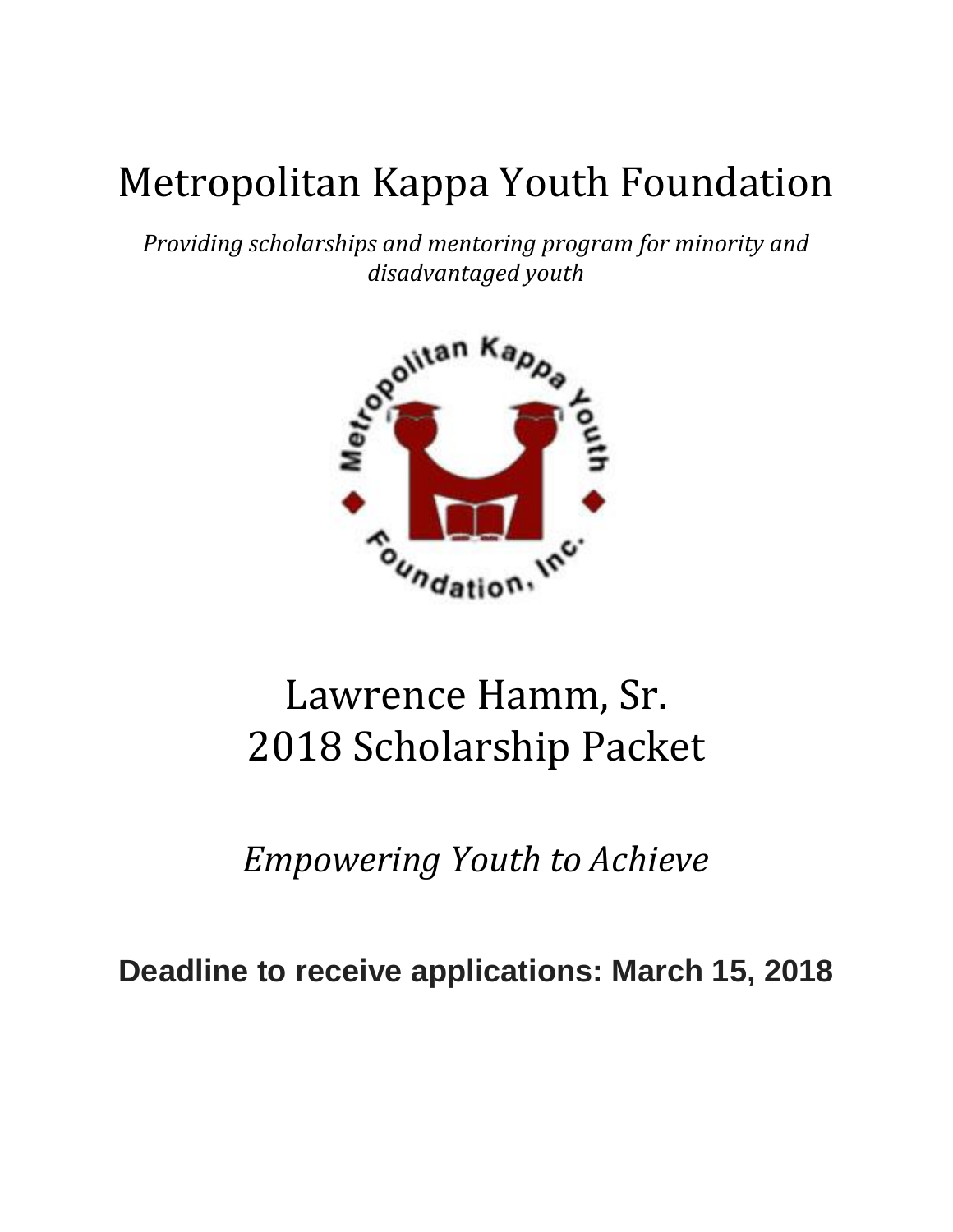# Metropolitan Kappa Youth Foundation

*Providing scholarships and mentoring program for minority and disadvantaged youth*



## Lawrence Hamm, Sr. 2018 Scholarship Packet

*Empowering Youth to Achieve*

**Deadline to receive applications: March 15, 2018**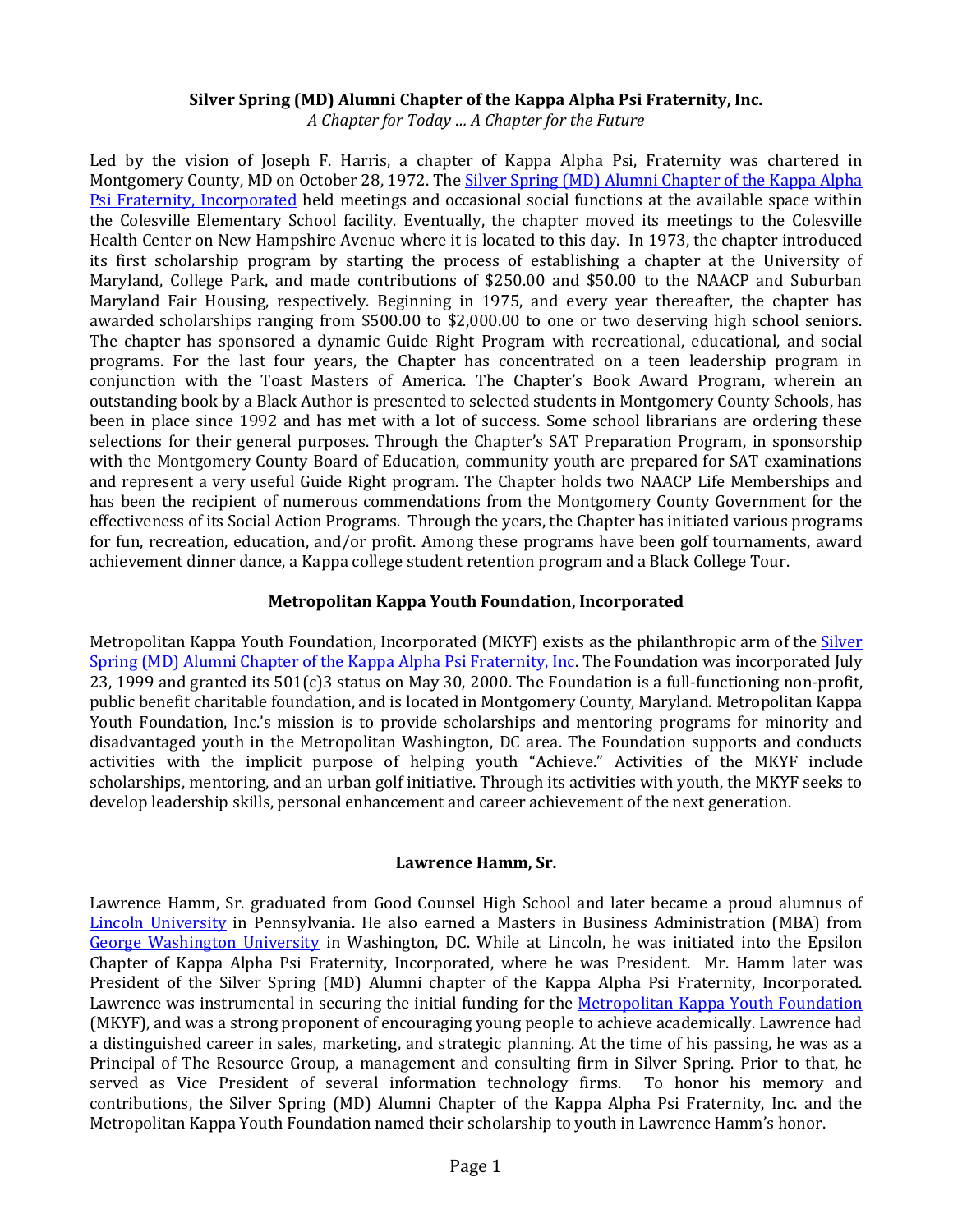#### **Silver Spring (MD) Alumni Chapter of the Kappa Alpha Psi Fraternity, Inc.**

*A Chapter for Today … A Chapter for the Future*

Led by the vision of Joseph F. Harris, a chapter of Kappa Alpha Psi, Fraternity was chartered in Montgomery County, MD on October 28, 1972. The Silver Spring (MD) Alumni Chapter of the Kappa Alpha [Psi Fraternity, Incorporated](http://www.silverspringalumni.com/nupes/) held meetings and occasional social functions at the available space within the Colesville Elementary School facility. Eventually, the chapter moved its meetings to the Colesville Health Center on New Hampshire Avenue where it is located to this day. In 1973, the chapter introduced its first scholarship program by starting the process of establishing a chapter at the University of Maryland, College Park, and made contributions of \$250.00 and \$50.00 to the NAACP and Suburban Maryland Fair Housing, respectively. Beginning in 1975, and every year thereafter, the chapter has awarded scholarships ranging from \$500.00 to \$2,000.00 to one or two deserving high school seniors. The chapter has sponsored a dynamic Guide Right Program with recreational, educational, and social programs. For the last four years, the Chapter has concentrated on a teen leadership program in conjunction with the Toast Masters of America. The Chapter's Book Award Program, wherein an outstanding book by a Black Author is presented to selected students in Montgomery County Schools, has been in place since 1992 and has met with a lot of success. Some school librarians are ordering these selections for their general purposes. Through the Chapter's SAT Preparation Program, in sponsorship with the Montgomery County Board of Education, community youth are prepared for SAT examinations and represent a very useful Guide Right program. The Chapter holds two NAACP Life Memberships and has been the recipient of numerous commendations from the Montgomery County Government for the effectiveness of its Social Action Programs. Through the years, the Chapter has initiated various programs for fun, recreation, education, and/or profit. Among these programs have been golf tournaments, award achievement dinner dance, a Kappa college student retention program and a Black College Tour.

#### **Metropolitan Kappa Youth Foundation, Incorporated**

Metropolitan Kappa Youth Foundation, Incorporated (MKYF) exists as the philanthropic arm of the **Silver** [Spring \(MD\) Alumni Chapter of the Kappa Alpha Psi Fraternity, Inc.](http://www.silverspringalumni.com/) The Foundation was incorporated July 23, 1999 and granted its 501(c)3 status on May 30, 2000. The Foundation is a full-functioning non-profit, public benefit charitable foundation, and is located in Montgomery County, Maryland. Metropolitan Kappa Youth Foundation, Inc.'s mission is to provide scholarships and mentoring programs for minority and disadvantaged youth in the Metropolitan Washington, DC area. The Foundation supports and conducts activities with the implicit purpose of helping youth "Achieve." Activities of the MKYF include scholarships, mentoring, and an urban golf initiative. Through its activities with youth, the MKYF seeks to develop leadership skills, personal enhancement and career achievement of the next generation.

#### **Lawrence Hamm, Sr.**

Lawrence Hamm, Sr. graduated from Good Counsel High School and later became a proud alumnus of [Lincoln University](http://www.lincoln.edu/) in Pennsylvania. He also earned a Masters in Business Administration (MBA) from [George Washington University](http://www.gwu.edu/) in Washington, DC. While at Lincoln, he was initiated into the Epsilon Chapter of Kappa Alpha Psi Fraternity, Incorporated, where he was President. Mr. Hamm later was President of the Silver Spring (MD) Alumni chapter of the Kappa Alpha Psi Fraternity, Incorporated. Lawrence was instrumental in securing the initial funding for the [Metropolitan Kappa Youth Foundation](http://www.mkyf.org/) (MKYF), and was a strong proponent of encouraging young people to achieve academically. Lawrence had a distinguished career in sales, marketing, and strategic planning. At the time of his passing, he was as a Principal of The Resource Group, a management and consulting firm in Silver Spring. Prior to that, he served as Vice President of several information technology firms. To honor his memory and contributions, the Silver Spring (MD) Alumni Chapter of the Kappa Alpha Psi Fraternity, Inc. and the Metropolitan Kappa Youth Foundation named their scholarship to youth in Lawrence Hamm's honor.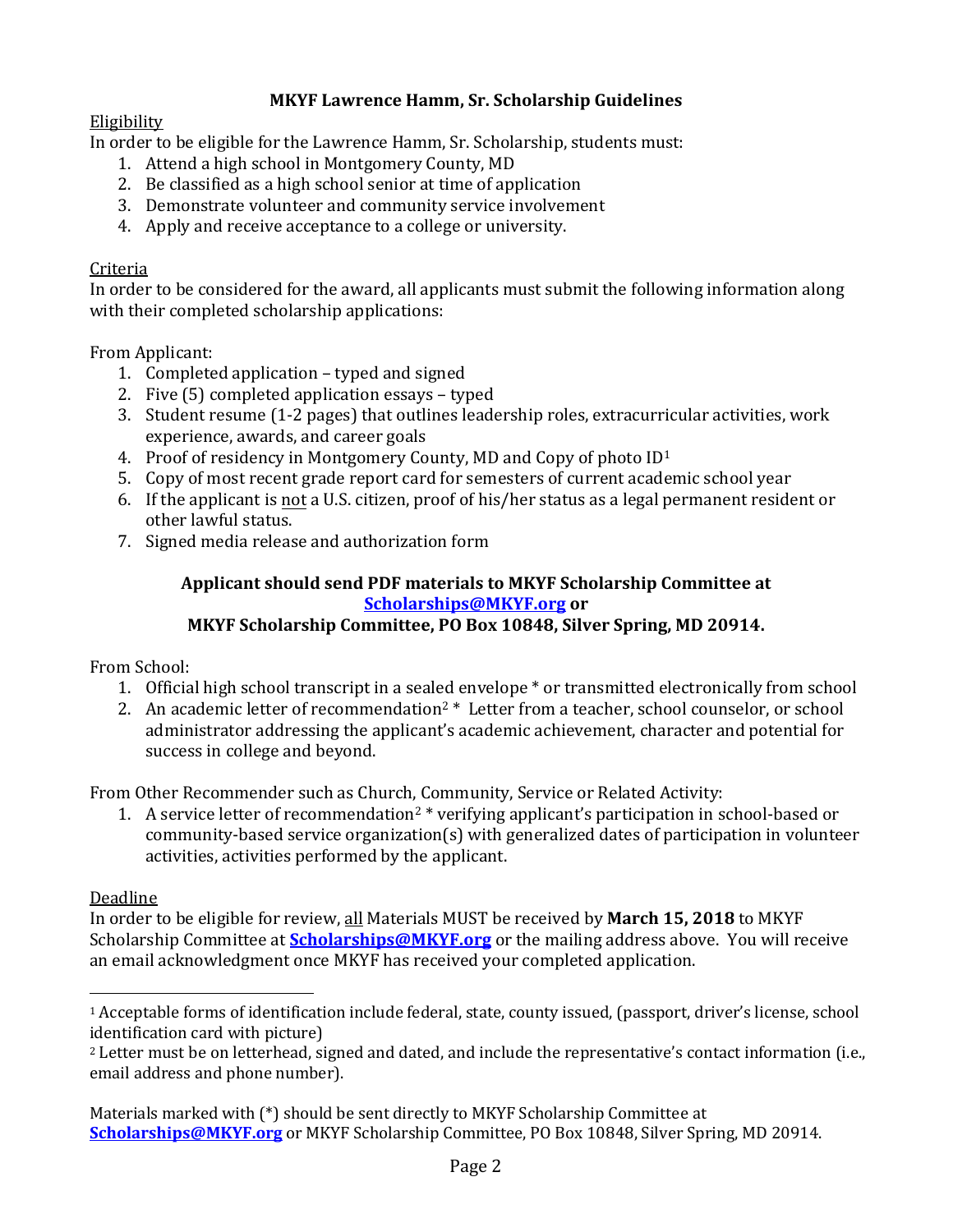#### **MKYF Lawrence Hamm, Sr. Scholarship Guidelines**

#### Eligibility

In order to be eligible for the Lawrence Hamm, Sr. Scholarship, students must:

- 1. Attend a high school in Montgomery County, MD
- 2. Be classified as a high school senior at time of application
- 3. Demonstrate volunteer and community service involvement
- 4. Apply and receive acceptance to a college or university.

#### Criteria

In order to be considered for the award, all applicants must submit the following information along with their completed scholarship applications:

From Applicant:

- 1. Completed application typed and signed
- 2. Five (5) completed application essays typed
- 3. Student resume (1-2 pages) that outlines leadership roles, extracurricular activities, work experience, awards, and career goals
- 4. Proof of residency in Montgomery County, MD and Copy of photo ID<sup>1</sup>
- 5. Copy of most recent grade report card for semesters of current academic school year
- 6. If the applicant is not a U.S. citizen, proof of his/her status as a legal permanent resident or other lawful status.
- 7. Signed media release and authorization form

## **Applicant should send PDF materials to MKYF Scholarship Committee at [Scholarships@MKYF.org](mailto:Scholarships@MKYF.org) or**

### **MKYF Scholarship Committee, PO Box 10848, Silver Spring, MD 20914.**

From School:

- 1. Official high school transcript in a sealed envelope \* or transmitted electronically from school
- 2. An academic letter of recommendation<sup>2</sup>  $*$  Letter from a teacher, school counselor, or school administrator addressing the applicant's academic achievement, character and potential for success in college and beyond.

From Other Recommender such as Church, Community, Service or Related Activity:

1. A service letter of recommendation<sup>2</sup> \* verifying applicant's participation in school-based or community-based service organization(s) with generalized dates of participation in volunteer activities, activities performed by the applicant.

### Deadline

In order to be eligible for review, all Materials MUST be received by **March 15, 2018** to MKYF Scholarship Committee at **[Scholarships@MKYF.org](mailto:Scholarships@MKYF.org)** or the mailing address above. You will receive an email acknowledgment once MKYF has received your completed application.

<sup>1</sup> Acceptable forms of identification include federal, state, county issued, (passport, driver's license, school identification card with picture)

<sup>2</sup> Letter must be on letterhead, signed and dated, and include the representative's contact information (i.e., email address and phone number).

Materials marked with (\*) should be sent directly to MKYF Scholarship Committee at **[Scholarships@MKYF.org](mailto:Scholarships@MKYF.org)** or MKYF Scholarship Committee, PO Box 10848, Silver Spring, MD 20914.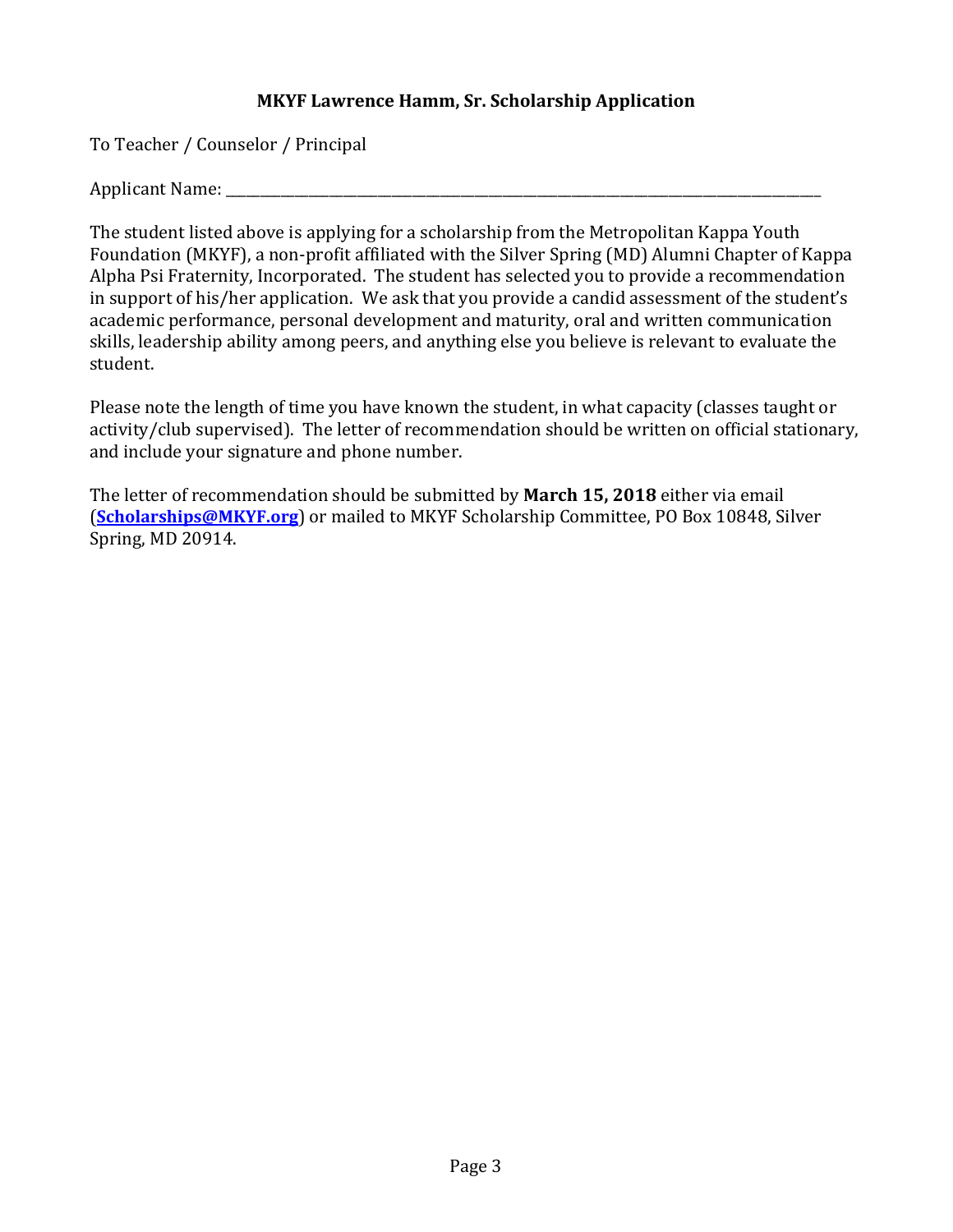To Teacher / Counselor / Principal

Applicant Name:

The student listed above is applying for a scholarship from the Metropolitan Kappa Youth Foundation (MKYF), a non-profit affiliated with the Silver Spring (MD) Alumni Chapter of Kappa Alpha Psi Fraternity, Incorporated. The student has selected you to provide a recommendation in support of his/her application. We ask that you provide a candid assessment of the student's academic performance, personal development and maturity, oral and written communication skills, leadership ability among peers, and anything else you believe is relevant to evaluate the student.

Please note the length of time you have known the student, in what capacity (classes taught or activity/club supervised). The letter of recommendation should be written on official stationary, and include your signature and phone number.

The letter of recommendation should be submitted by **March 15, 2018** either via email (**[Scholarships@MKYF.org](mailto:Scholarships@MKYF.org)**) or mailed to MKYF Scholarship Committee, PO Box 10848, Silver Spring, MD 20914.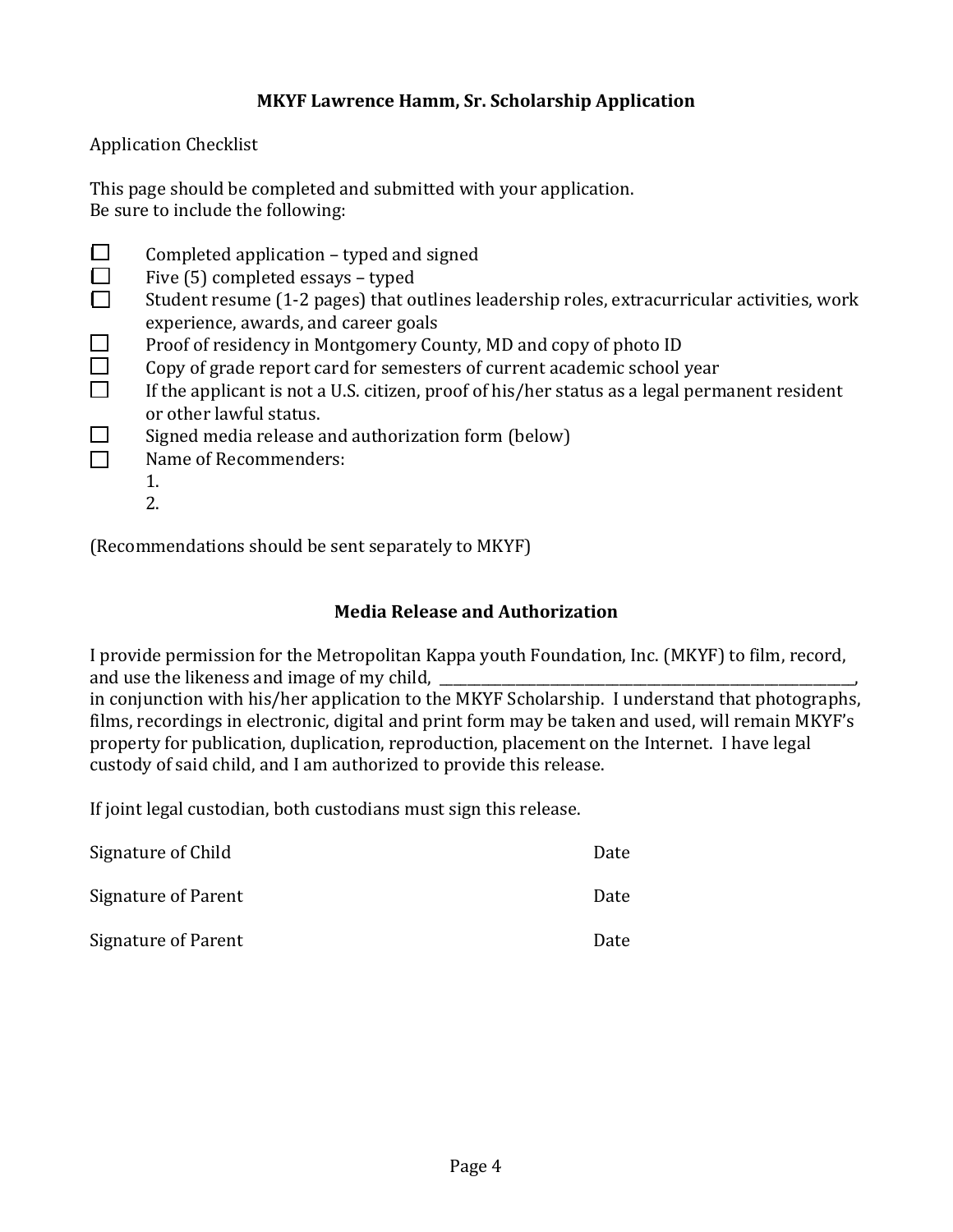Application Checklist

This page should be completed and submitted with your application. Be sure to include the following:

- $\Box$  Completed application typed and signed
- $\Box$  Five (5) completed essays typed<br> $\Box$  Student resume (1-2 pages) that or
- Student resume (1-2 pages) that outlines leadership roles, extracurricular activities, work experience, awards, and career goals
- $\square$  Proof of residency in Montgomery County, MD and copy of photo ID
- $\Box$  Copy of grade report card for semesters of current academic school year
- $\Box$  If the applicant is not a U.S. citizen, proof of his/her status as a legal permanent resident or other lawful status.
- $\Box$  Signed media release and authorization form (below)
- ☐ Name of Recommenders:
	- 1.
	- 2.

(Recommendations should be sent separately to MKYF)

#### **Media Release and Authorization**

I provide permission for the Metropolitan Kappa youth Foundation, Inc. (MKYF) to film, record, and use the likeness and image of my child,

in conjunction with his/her application to the MKYF Scholarship. I understand that photographs, films, recordings in electronic, digital and print form may be taken and used, will remain MKYF's property for publication, duplication, reproduction, placement on the Internet. I have legal custody of said child, and I am authorized to provide this release.

If joint legal custodian, both custodians must sign this release.

| Signature of Child  | Date |
|---------------------|------|
| Signature of Parent | Date |
| Signature of Parent | Date |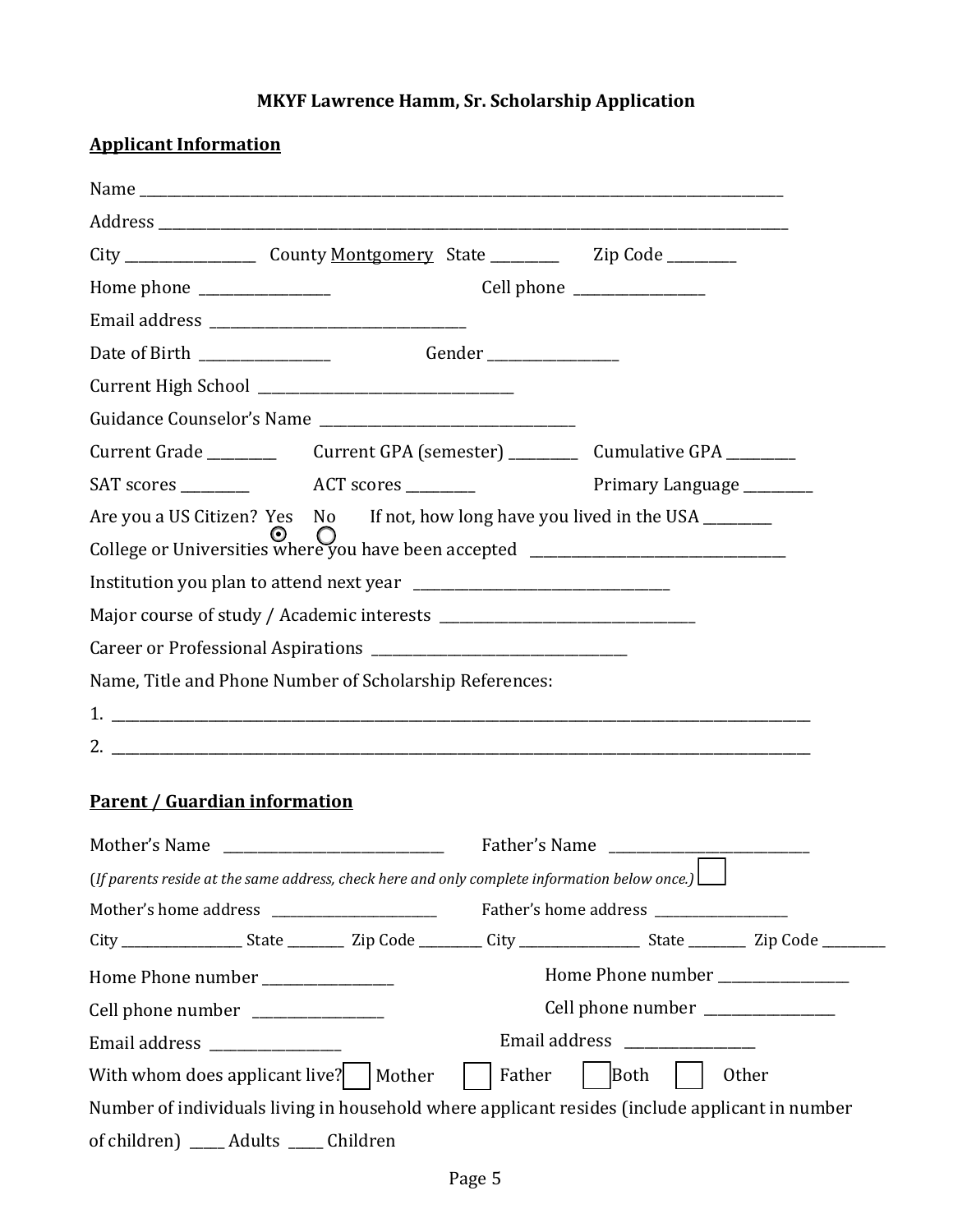| <b>Applicant Information</b>                                                                            |        |                                   |
|---------------------------------------------------------------------------------------------------------|--------|-----------------------------------|
|                                                                                                         |        |                                   |
|                                                                                                         |        |                                   |
| City ________________________ County Montgomery State _________________ Zip Code __________             |        |                                   |
|                                                                                                         |        | Cell phone _______________        |
|                                                                                                         |        |                                   |
|                                                                                                         |        |                                   |
|                                                                                                         |        |                                   |
|                                                                                                         |        |                                   |
|                                                                                                         |        |                                   |
|                                                                                                         |        | Primary Language ________         |
| Are you a US Citizen? Yes No If not, how long have you lived in the USA _______                         |        |                                   |
| College or Universities where you have been accepted ___________________________                        |        |                                   |
|                                                                                                         |        |                                   |
|                                                                                                         |        |                                   |
|                                                                                                         |        |                                   |
| Name, Title and Phone Number of Scholarship References:                                                 |        |                                   |
|                                                                                                         |        |                                   |
|                                                                                                         |        |                                   |
|                                                                                                         |        |                                   |
| <b>Parent / Guardian information</b>                                                                    |        |                                   |
| Mother's Name                                                                                           |        | Father's Name                     |
| (If parents reside at the same address, check here and only complete information below once.) $\lfloor$ |        |                                   |
|                                                                                                         |        |                                   |
|                                                                                                         |        |                                   |
| Home Phone number _______________                                                                       |        | Home Phone number                 |
| Cell phone number _______________                                                                       |        | Cell phone number _______________ |
| Email address ________________                                                                          |        | Email address _______________     |
| With whom does applicant live?                                                                          | Mother | Father<br>Both<br>Other           |
| Number of individuals living in household where applicant resides (include applicant in number          |        |                                   |
| of children) ____ Adults ____ Children                                                                  |        |                                   |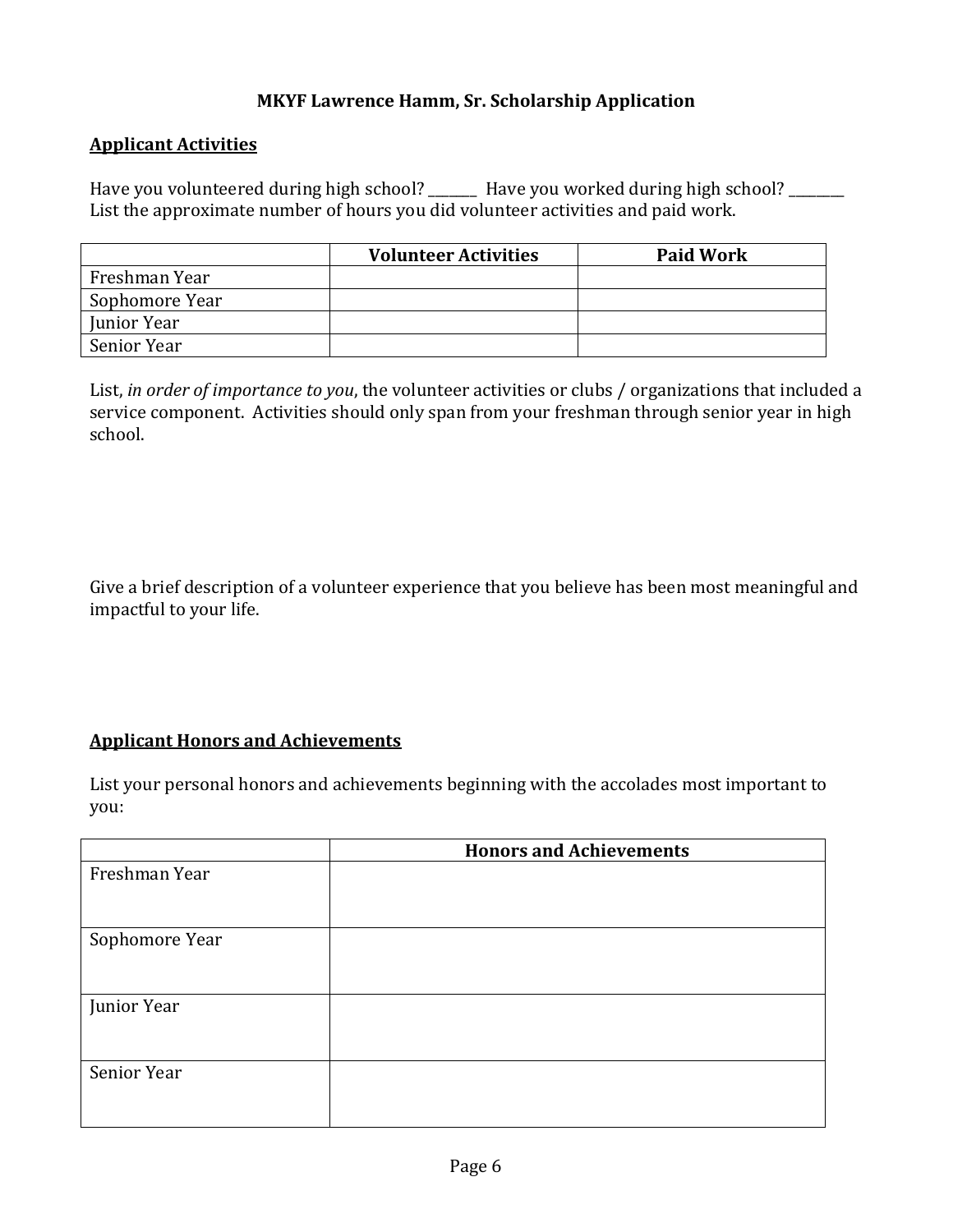#### **Applicant Activities**

Have you volunteered during high school? \_\_\_\_\_\_\_ Have you worked during high school? \_\_\_\_\_\_\_ List the approximate number of hours you did volunteer activities and paid work.

|                | <b>Volunteer Activities</b> | <b>Paid Work</b> |
|----------------|-----------------------------|------------------|
| Freshman Year  |                             |                  |
| Sophomore Year |                             |                  |
| Junior Year    |                             |                  |
| Senior Year    |                             |                  |

List, *in order of importance to you*, the volunteer activities or clubs / organizations that included a service component. Activities should only span from your freshman through senior year in high school.

Give a brief description of a volunteer experience that you believe has been most meaningful and impactful to your life.

#### **Applicant Honors and Achievements**

List your personal honors and achievements beginning with the accolades most important to you:

|                | <b>Honors and Achievements</b> |
|----------------|--------------------------------|
| Freshman Year  |                                |
|                |                                |
| Sophomore Year |                                |
|                |                                |
| Junior Year    |                                |
|                |                                |
| Senior Year    |                                |
|                |                                |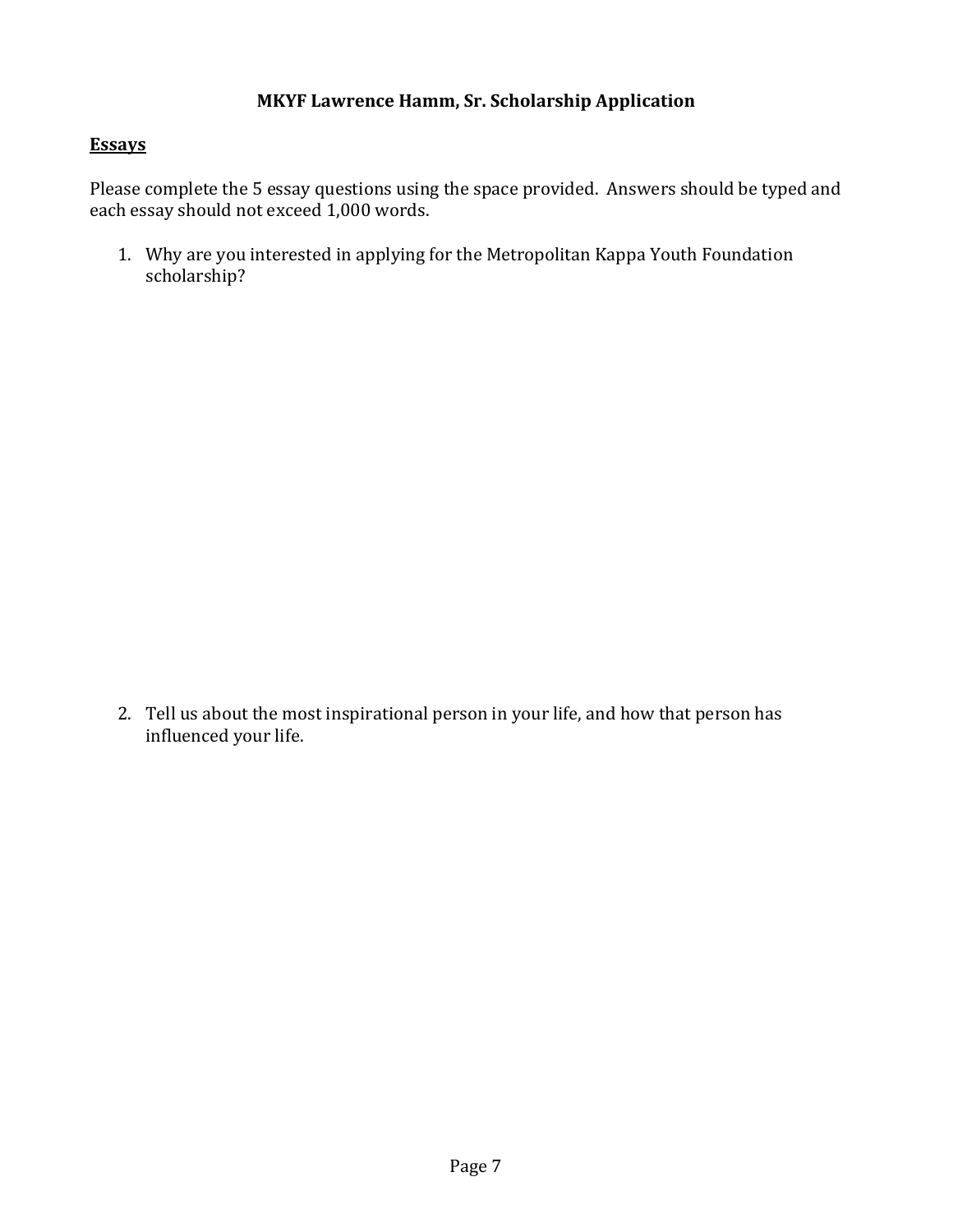#### **Essays**

Please complete the 5 essay questions using the space provided. Answers should be typed and each essay should not exceed 1,000 words.

1. Why are you interested in applying for the Metropolitan Kappa Youth Foundation scholarship?

2. Tell us about the most inspirational person in your life, and how that person has influenced your life.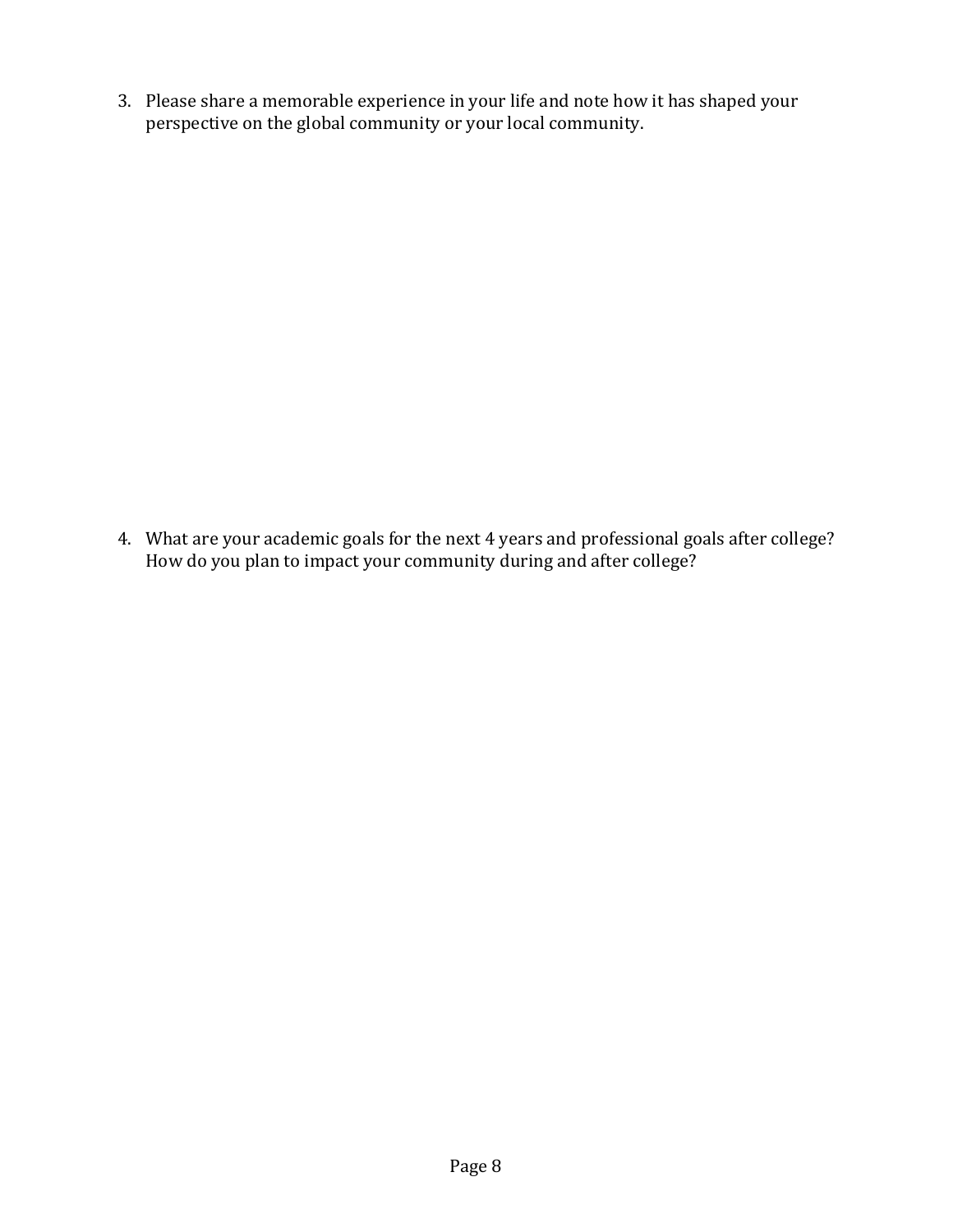3. Please share a memorable experience in your life and note how it has shaped your perspective on the global community or your local community.

4. What are your academic goals for the next 4 years and professional goals after college? How do you plan to impact your community during and after college?